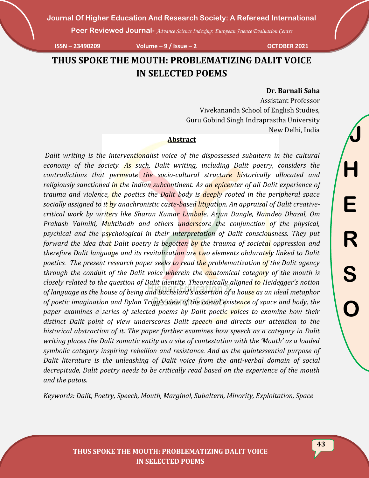**Peer Reviewed Journal-** *Advance Science Indexing: European Science Evaluation Centre*

**ISSN – 23490209 Volume – 9 / Issue – 2 OCTOBER 2021**

# **THUS SPOKE THE MOUTH: PROBLEMATIZING DALIT VOICE IN SELECTED POEMS**

#### **Dr. Barnali Saha**

Assistant Professor Vivekananda School of English Studies, Guru Gobind Singh Indraprastha University New Delhi, India

#### **Abstract**

*Dalit writing is the interventionalist voice of the dispossessed subaltern in the cultural economy of the society. As such, Dalit writing, including Dalit poetry, considers the contradictions that permeate the socio-cultural structure historically allocated and religiously sanctioned in the Indian subcontinent. As an epicenter of all Dalit experience of trauma and violence, the poetics the Dalit body is deeply rooted in the peripheral space socially assigned to it by anachronistic caste-based litigation. An appraisal of Dalit creativecritical work by writers like Sharan Kumar Limbale, Arjun Dangle, Namdeo Dhasal, Om Prakash Valmiki, Muktibodh and others underscore the conjunction of the physical, psychical and the psychological in their interpretation of Dalit consciousness. They put forward the idea that Dalit poetry is begotten by the trauma of societal oppression and therefore Dalit language and its revitalization are two elements obdurately linked to Dalit poetics. The present research paper seeks to read the problematization of the Dalit agency through the conduit of the Dalit voice wherein the anatomical category of the mouth is closely related to the question of Dalit identity. Theoretically aligned to Heidegger's notion of language as the house of being and Bachelard's assertion of a house as an ideal metaphor of poetic imagination and Dylan Trigg's view of the coeval existence of space and body, the paper examines a series of selected poems by Dalit poetic voices to examine how their distinct Dalit point of view underscores Dalit speech and directs our attention to the historical abstraction of it. The paper further examines how speech as a category in Dalit writing places the Dalit somatic entity as a site of contestation with the 'Mouth' as a loaded symbolic category inspiring rebellion and resistance. And as the quintessential purpose of Dalit literature is the unleashing of Dalit voice from the anti-verbal domain of social decrepitude, Dalit poetry needs to be critically read based on the experience of the mouth and the patois.* 

*Keywords: Dalit, Poetry, Speech, Mouth, Marginal, Subaltern, Minority, Exploitation, Space*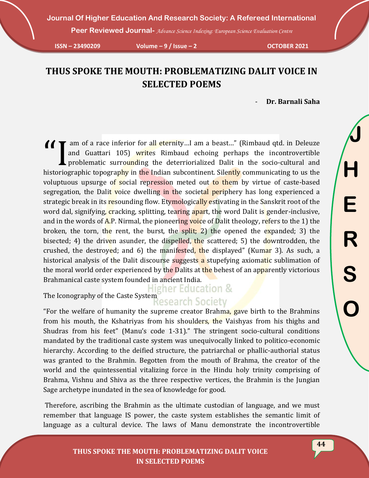**Peer Reviewed Journal-** *Advance Science Indexing: European Science Evaluation Centre*

**ISSN – 23490209 Volume – 9 / Issue – 2 OCTOBER 2021**

# **THUS SPOKE THE MOUTH: PROBLEMATIZING DALIT VOICE IN SELECTED POEMS**

- **Dr. Barnali Saha**

am of a race inferior for all eternity...I am a beast..." (Rimbaud qtd. in Deleuze and Guattari 105) writes Rimbaud echoing perhaps the incontrovertible problematic surrounding the deterriorialized Dalit in the socio-cultu and Guattari 105) writes Rimbaud echoing perhaps the incontrovertible problematic surrounding the deterriorialized Dalit in the socio-cultural and historiographic topography in the Indian subcontinent. Silently communicating to us the voluptuous upsurge of social repression meted out to them by virtue of caste-based segregation, the Dalit voice dwelling in the societal periphery has long experienced a strategic break in its resounding flow. Etymologically estivating in the Sanskrit root of the word dal, signifying, cracking, splitting, tearing apart, the word Dalit is gender-inclusive, and in the words of  $\overline{A}$ . Nirmal, the pioneering voice of Dalit theology, refers to the 1) the broken, the torn, the rent, the burst, the split; 2) the opened the expanded; 3) the bisected; 4) the driven asunder, the dispelled, the scattered; 5) the downtrodden, the crushed, the destroyed; and 6) the manifested, the displayed" (Kumar 3). As such, a historical analysis of the Dalit discourse suggests a stupefying axiomatic sublimation of the moral world order experienced by the Dalits at the behest of an apparently victorious Brahmanical caste system founded in ancient India.

ligher Education & The Iconography of the Caste System Research Society

"For the welfare of humanity the supreme creator Brahma, gave birth to the Brahmins from his mouth, the Kshatriyas from his shoulders, the Vaishyas from his thighs and Shudras from his feet" (Manu's code 1-31)." The stringent socio-cultural conditions mandated by the traditional caste system was unequivocally linked to politico-economic hierarchy. According to the deified structure, the patriarchal or phallic-authorial status was granted to the Brahmin. Begotten from the mouth of Brahma, the creator of the world and the quintessential vitalizing force in the Hindu holy trinity comprising of Brahma, Vishnu and Shiva as the three respective vertices, the Brahmin is the Jungian Sage archetype inundated in the sea of knowledge for good.

Therefore, ascribing the Brahmin as the ultimate custodian of language, and we must remember that language IS power, the caste system establishes the semantic limit of language as a cultural device. The laws of Manu demonstrate the incontrovertible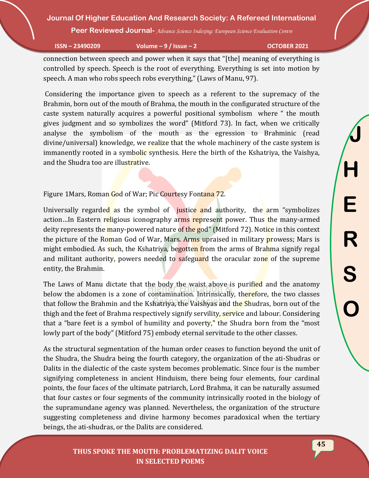**Peer Reviewed Journal-** *Advance Science Indexing: European Science Evaluation Centre*

**ISSN – 23490209 Volume – 9 / Issue – 2 OCTOBER 2021**

connection between speech and power when it says that "[the] meaning of everything is controlled by speech. Speech is the root of everything. Everything is set into motion by speech. A man who robs speech robs everything," (Laws of Manu, 97).

Considering the importance given to speech as a referent to the supremacy of the Brahmin, born out of the mouth of Brahma, the mouth in the configurated structure of the caste system naturally acquires a powerful positional symbolism where " the mouth gives judgment and so symbolizes the word" (Mitford 73). In fact, when we critically analyse the symbolism of the mouth as the egression to Brahminic (read divine/universal) knowledge, we realize that the whole machinery of the caste system is immanently rooted in a symbolic synthesis. Here the birth of the Kshatriya, the Vaishya, and the Shudra too are illustrative.

Figure 1 Mars, Roman God of War; Pic Courtesy Fontana 72.

Universally regarded as the symbol of justice and authority, the arm "symbolizes" action…In Eastern religious iconography arms represent power. Thus the many-armed deity represents the many-powered nature of the god" (Mitford 72). Notice in this context the picture of the Roman God of War, Mars. Arms upraised in military prowess; Mars is might embodied. As such, the Kshatriya, begotten from the arms of Brahma signify regal and militant authority, powers needed to safeguard the oracular zone of the supreme entity, the Brahmin.

The Laws of Manu dictate that the body the waist above is purified and the anatomy below the abdomen is a zone of contamination. Intrinsically, therefore, the two classes that follow the Brahmin and the Kshatriya, the Vaishyas and the Shudras, born out of the thigh and the feet of Brahma respectively signify servility, service and labour. Considering that a "bare feet is a symbol of humility and poverty," the Shudra born from the "most lowly part of the body" (Mitford 75) embody eternal servitude to the other classes.

As the structural segmentation of the human order ceases to function beyond the unit of the Shudra, the Shudra being the fourth category, the organization of the ati-Shudras or Dalits in the dialectic of the caste system becomes problematic. Since four is the number signifying completeness in ancient Hinduism, there being four elements, four cardinal points, the four faces of the ultimate patriarch, Lord Brahma, it can be naturally assumed that four castes or four segments of the community intrinsically rooted in the biology of the supramundane agency was planned. Nevertheless, the organization of the structure suggesting completeness and divine harmony becomes paradoxical when the tertiary beings, the ati-shudras, or the Dalits are considered.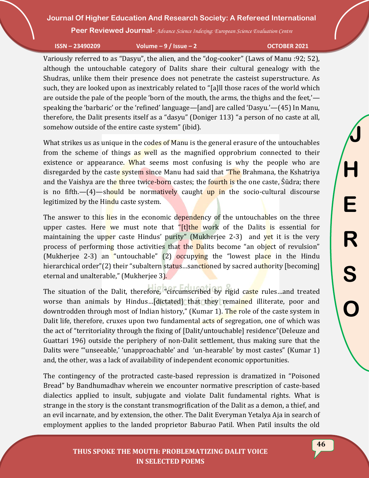**Peer Reviewed Journal-** *Advance Science Indexing: European Science Evaluation Centre*

**ISSN – 23490209 Volume – 9 / Issue – 2 OCTOBER 2021**

Variously referred to as "Dasyu", the alien, and the "dog-cooker" (Laws of Manu :92; 52), although the untouchable category of Dalits share their cultural genealogy with the Shudras, unlike them their presence does not penetrate the casteist superstructure. As such, they are looked upon as inextricably related to "[a]ll those races of the world which are outside the pale of the people 'born of the mouth, the arms, the thighs and the feet,' speaking the 'barbaric' or the 'refined' language—[and] are called 'Dasyu.'—(45) In Manu, therefore, the Dalit presents itself as a "dasyu" (Doniger 113) "a person of no caste at all, somehow outside of the entire caste system" (ibid).

What strikes us as unique in the codes of Manu is the general erasure of the untouchables from the scheme of things as well as the magnified opprobrium connected to their existence or appearance. What seems most confusing is why the people who are disregarded by the caste system since Manu had said that "The Brahmana, the Kshatriya and the Vaishya are the three twice-born castes; the fourth is the one caste, Śūdra; there is no fifth.— $(4)$ —should be normatively caught up in the socio-cultural discourse legitimized by the Hindu caste system.

The answer to this lies in the economic dependency of the untouchables on the three upper castes. Here we must note that "[t]the work of the Dalits is essential for maintaining the upper caste Hindus' purity" (Mukherjee 2-3) and yet it is the very process of performing those activities that the Dalits become "an object of revulsion" (Mukherjee 2-3) an "untouchable" (2) occupying the "lowest place in the Hindu hierarchical order"(2) their "subaltern status...sanctioned by sacred authority [becoming] eternal and unalterable," (Mukherjee 3).

The situation of the Dalit, therefore, "circumscribed by rigid caste rules…and treated worse than animals by Hindus…[dictated] that they remained illiterate, poor and downtrodden through most of Indian history," (Kumar 1). The role of the caste system in Dalit life, therefore, cruxes upon two fundamental acts of segregation, one of which was the act of "territoriality through the fixing of [Dalit/untouchable] residence"(Deleuze and Guattari 196) outside the periphery of non-Dalit settlement, thus making sure that the Dalits were "'unseeable,' 'unapproachable' and 'un-hearable' by most castes" (Kumar 1) and, the other, was a lack of availability of independent economic opportunities.

The contingency of the protracted caste-based repression is dramatized in "Poisoned Bread" by Bandhumadhav wherein we encounter normative prescription of caste-based dialectics applied to insult, subjugate and violate Dalit fundamental rights. What is strange in the story is the constant transmogrification of the Dalit as a demon, a thief, and an evil incarnate, and by extension, the other. The Dalit Everyman Yetalya Aja in search of employment applies to the landed proprietor Baburao Patil. When Patil insults the old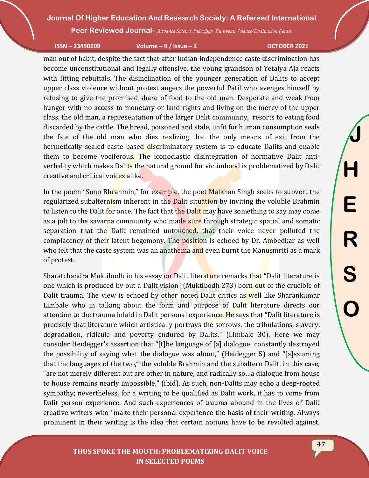**Peer Reviewed Journal-** *Advance Science Indexing: European Science Evaluation Centre*

#### **ISSN – 23490209 Volume – 9 / Issue – 2 OCTOBER 2021**

man out of habit, despite the fact that after Indian independence caste discrimination has become unconstitutional and legally offensive, the young grandson of Yetalya Aja reacts with fitting rebuttals. The disinclination of the younger generation of Dalits to accept upper class violence without protest angers the powerful Patil who avenges himself by refusing to give the promised share of food to the old man. Desperate and weak from hunger with no access to monetary or land rights and living on the mercy of the upper class, the old man, a representation of the larger Dalit community, resorts to eating food discarded by the cattle. The bread, poisoned and stale, unfit for human consumption seals the fate of the old man who dies realizing that the only means of exit from the hermetically sealed caste based discriminatory system is to educate Dalits and enable them to become vociferous. The iconoclastic disintegration of normative Dalit antiverbality which makes Dalits the natural ground for victimhood is problematized by Dalit creative and critical voices alike.

In the poem "Suno Bhrahmin," for example, the poet Malkhan Singh seeks to subvert the regularized subalternism inherent in the Dalit situation by inviting the voluble Brahmin to listen to the Dalit for once. The fact that the Dalit may have something to say may come as a jolt to the savarna community who made sure through strategic spatial and somatic separation that the Dalit remained untouched, that their voice never polluted the complacency of their latent hegemony. The position is echoed by Dr. Ambedkar as well who felt that the caste system was an anathema and even burnt the Manusmriti as a mark of protest.

Sharatchandra Muktibodh in his essay on Dalit literature remarks that "Dalit literature is one which is produced by out a Dalit vision" (Muktibodh 273) born out of the crucible of Dalit trauma. The view is echoed by other noted Dalit critics as well like Sharankumar Limbale who in talking about the form and purpose of Dalit literature directs our attention to the trauma inlaid in Dalit personal experience. He says that "Dalit literature is precisely that literature which artistically portrays the sorrows, the tribulations, slavery, degradation, ridicule and poverty endured by Dalits," (Limbale 30). Here we may consider Heidegger's assertion that "[t]he language of [a] dialogue constantly destroyed the possibility of saying what the dialogue was about," (Heidegger 5) and "[a]ssuming that the languages of the two," the voluble Brahmin and the subaltern Dalit, in this case, "are not merely different but are other in nature, and radically so…a dialogue from house to house remains nearly impossible," (ibid). As such, non-Dalits may echo a deep-rooted sympathy; nevertheless, for a writing to be qualified as Dalit work, it has to come from Dalit person experience. And such experiences of trauma abound in the lives of Dalit creative writers who "make their personal experience the basis of their writing. Always prominent in their writing is the idea that certain notions have to be revolted against,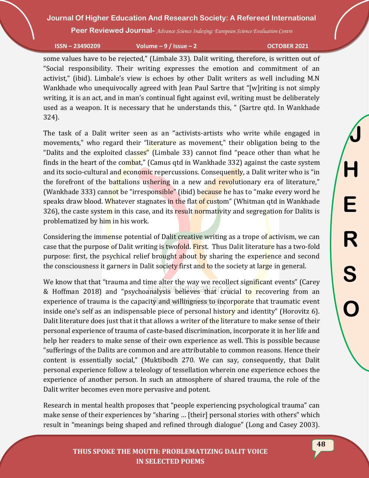**Peer Reviewed Journal-** *Advance Science Indexing: European Science Evaluation Centre*

**ISSN – 23490209 Volume – 9 / Issue – 2 OCTOBER 2021**

some values have to be rejected," (Limbale 33). Dalit writing, therefore, is written out of "Social responsibility. Their writing expresses the emotion and commitment of an activist," (ibid). Limbale's view is echoes by other Dalit writers as well including M.N Wankhade who unequivocally agreed with Jean Paul Sartre that "[w]riting is not simply writing, it is an act, and in man's continual fight against evil, writing must be deliberately used as a weapon. It is necessary that he understands this, " (Sartre qtd. In Wankhade 324).

The task of a Dalit writer seen as an "activists-artists who write while engaged in movements," who regard their "literature as movement," their obligation being to the "Dalits and the exploited classes" (Limbale 33) cannot find "peace other than what he finds in the heart of the combat," (Camus qtd in Wankhade 332) against the caste system and its socio-cultural and **economic** repercussions. Consequently, a Dalit writer who is "in the forefront of the battalions ushering in a new and revolutionary era of literature," (Wankhade 333) cannot be "irresponsible" (ibid) because he has to "make every word he speaks draw blood. Whatever stagnates in the flat of custom" (Whitman qtd in Wankhade 326), the caste system in this case, and its result normativity and segregation for Dalits is problematized by him in his work.

Considering the immense potential of Dalit creative writing as a trope of activism, we can case that the purpose of Dalit writing is twofold. First. Thus Dalit literature has a two-fold purpose: first, the psychical relief brought about by sharing the experience and second the consciousness it garners in Dalit society first and to the society at large in general.

We know that that "trauma and time alter the way we recollect significant events" (Carey & Hoffman 2018) and "psychoanalysis believes that crucial to recovering from an experience of trauma is the capacity and willingness to incorporate that traumatic event inside one's self as an indispensable piece of personal history and identity" (Horovitz 6). Dalit literature does just that it that allows a writer of the literature to make sense of their personal experience of trauma of caste-based discrimination, incorporate it in her life and help her readers to make sense of their own experience as well. This is possible because "sufferings of the Dalits are common and are attributable to common reasons. Hence their content is essentially social," (Muktibodh 270. We can say, consequently, that Dalit personal experience follow a teleology of tessellation wherein one experience echoes the experience of another person. In such an atmosphere of shared trauma, the role of the Dalit writer becomes even more pervasive and potent.

Research in mental health proposes that "people experiencing psychological trauma" can make sense of their experiences by "sharing … [their] personal stories with others" which result in "meanings being shaped and refined through dialogue" (Long and Casey 2003).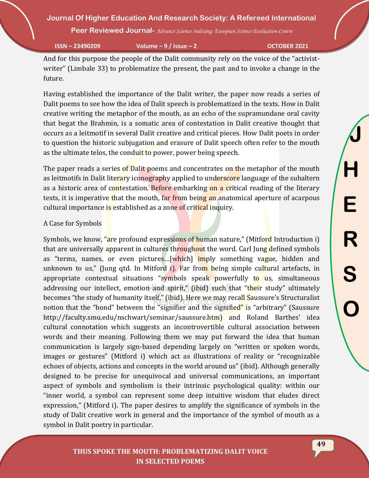**Peer Reviewed Journal-** *Advance Science Indexing: European Science Evaluation Centre*

**ISSN – 23490209 Volume – 9 / Issue – 2 OCTOBER 2021**

And for this purpose the people of the Dalit community rely on the voice of the "activistwriter" (Limbale 33) to problematize the present, the past and to invoke a change in the future.

Having established the importance of the Dalit writer, the paper now reads a series of Dalit poems to see how the idea of Dalit speech is problematized in the texts. How in Dalit creative writing the metaphor of the mouth, as an echo of the supramundane oral cavity that begat the Brahmin, is a somatic area of contestation in Dalit creative thought that occurs as a leitmotif in several Dalit creative and critical pieces. How Dalit poets in order to question the historic subjugation and erasure of Dalit speech often refer to the mouth as the ultimate telos, the conduit to power, power being speech.

The paper reads a series of Dalit poems and concentrates on the metaphor of the mouth as leitmotifs in Dalit literary iconography applied to underscore language of the subaltern as a historic area of contestation. Before embarking on a critical reading of the literary texts, it is imperative that the mouth, far from being an anatomical aperture of acarpous cultural importance is established as a zone of critical inquiry.

### A Case for Symbols

Symbols, we know, "are profound expressions of human nature," (Mitford Introduction i) that are universally apparent in cultures throughout the word. Carl Jung defined symbols as "terms, names, or even pictures...[which] imply something vague, hidden and unknown to us," (Jung qtd. In Mitford i). Far from being simple cultural artefacts, in appropriate contextual situations "symbols speak powerfully to us, simultaneous addressing our intellect, emotion and spirit," (ibid) such that "their study" ultimately becomes "the study of humanity itself," (ibid). Here we may recall Saussure's Structuralist notion that the "bond" between the "signifier and the signified" is "arbitrary" (Saussure http://faculty.smu.edu/nschwart/seminar/saussure.htm) and Roland Barthes' idea cultural connotation which suggests an incontrovertible cultural association between words and their meaning. Following them we may put forward the idea that human communication is largely sign-based depending largely on "written or spoken words, images or gestures" (Mitford i) which act as illustrations of reality or "recognizable echoes of objects, actions and concepts in the world around us" (ibid). Although generally designed to be precise for unequivocal and universal communications, an important aspect of symbols and symbolism is their intrinsic psychological quality: within our "inner world, a symbol can represent some deep intuitive wisdom that eludes direct expression," (Mitford i). The paper desires to amplify the significance of symbols in the study of Dalit creative work in general and the importance of the symbol of mouth as a symbol in Dalit poetry in particular.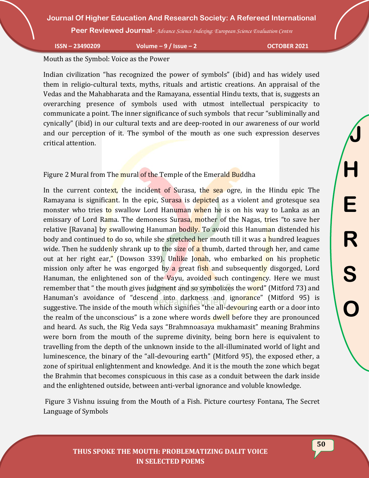**Peer Reviewed Journal-** *Advance Science Indexing: European Science Evaluation Centre*

**ISSN – 23490209 Volume – 9 / Issue – 2 OCTOBER 2021**

Mouth as the Symbol: Voice as the Power

Indian civilization "has recognized the power of symbols" (ibid) and has widely used them in religio-cultural texts, myths, rituals and artistic creations. An appraisal of the Vedas and the Mahabharata and the Ramayana, essential Hindu texts, that is, suggests an overarching presence of symbols used with utmost intellectual perspicacity to communicate a point. The inner significance of such symbols that recur "subliminally and cynically" (ibid) in our cultural texts and are deep-rooted in our awareness of our world and our perception of it. The symbol of the mouth as one such expression deserves critical attention.

Figure 2 Mural from The mural of the Temple of the Emerald Buddha

In the current context, the incident of Surasa, the sea ogre, in the Hindu epic The Ramayana is significant. In the epic, Surasa is depicted as a violent and grotesque sea monster who tries to swallow Lord Hanuman when he is on his way to Lanka as an emissary of Lord Rama. The demoness Surasa, mother of the Nagas, tries "to save her relative [Ravana] by swallowing Hanuman bodily. To avoid this Hanuman distended his body and continued to do so, while she stretched her mouth till it was a hundred leagues wide. Then he suddenly shrank up to the size of a thumb, darted through her, and came out at her right ear," (Dowson 339). Unlike Jonah, who embarked on his prophetic mission only after he was engorged by a great fish and subsequently disgorged, Lord Hanuman, the enlightened son of the Vayu, avoided such contingency. Here we must remember that " the mouth gives judgment and so symbolizes the word" (Mitford 73) and Hanuman's avoidance of "descend into darkness and ignorance" (Mitford 95) is suggestive. The inside of the mouth which signifies "the all-devouring earth or a door into the realm of the unconscious" is a zone where words dwell before they are pronounced and heard. As such, the Rig Veda says "Brahmnoasaya mukhamasit" meaning Brahmins were born from the mouth of the supreme divinity, being born here is equivalent to travelling from the depth of the unknown inside to the all-illuminated world of light and luminescence, the binary of the "all-devouring earth" (Mitford 95), the exposed ether, a zone of spiritual enlightenment and knowledge. And it is the mouth the zone which begat the Brahmin that becomes conspicuous in this case as a conduit between the dark inside and the enlightened outside, between anti-verbal ignorance and voluble knowledge.

Figure 3 Vishnu issuing from the Mouth of a Fish. Picture courtesy Fontana, The Secret Language of Symbols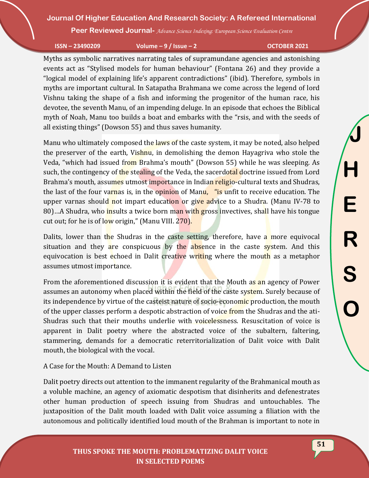**Peer Reviewed Journal-** *Advance Science Indexing: European Science Evaluation Centre*

**ISSN – 23490209 Volume – 9 / Issue – 2 OCTOBER 2021**

Myths as symbolic narratives narrating tales of supramundane agencies and astonishing events act as "Stylised models for human behaviour" (Fontana 26) and they provide a "logical model of explaining life's apparent contradictions" (ibid). Therefore, symbols in myths are important cultural. In Satapatha Brahmana we come across the legend of lord Vishnu taking the shape of a fish and informing the progenitor of the human race, his devotee, the seventh Manu, of an impending deluge. In an episode that echoes the Biblical myth of Noah, Manu too builds a boat and embarks with the "rsis, and with the seeds of all existing things" (Dowson 55) and thus saves humanity.

Manu who ultimately composed the laws of the caste system, it may be noted, also helped the preserver of the earth, Vishnu, in demolishing the demon Hayagriva who stole the Veda, "which had issued from Brahma's mouth" (Dowson 55) while he was sleeping. As such, the contingency of the stealing of the Veda, the sacerdotal doctrine issued from Lord Brahma's mouth, assumes utmost importance in Indian religio-cultural texts and Shudras, the last of the four varnas is, in the opinion of Manu, "is unfit to receive education. The upper varnas should not impart education or give advice to a Shudra. (Manu IV-78 to 80)…A Shudra, who insults a twice born man with gross invectives, shall have his tongue cut out; for he is of low origin," (Manu VIII. 270).

Dalits, lower than the Shudras in the caste setting, therefore, have a more equivocal situation and they are conspicuous by the absence in the caste system. And this equivocation is best echoed in Dalit creative writing where the mouth as a metaphor assumes utmost importance.

From the aforementioned discussion it is evident that the Mouth as an agency of Power assumes an autonomy when placed within the field of the caste system. Surely because of its independence by virtue of the casteist nature of socio-economic production, the mouth of the upper classes perform a despotic abstraction of voice from the Shudras and the ati-Shudras such that their mouths underlie with voicelessness. Resuscitation of voice is apparent in Dalit poetry where the abstracted voice of the subaltern, faltering, stammering, demands for a democratic reterritorialization of Dalit voice with Dalit mouth, the biological with the vocal.

A Case for the Mouth: A Demand to Listen

Dalit poetry directs out attention to the immanent regularity of the Brahmanical mouth as a voluble machine, an agency of axiomatic despotism that disinherits and defenestrates other human production of speech issuing from Shudras and untouchables. The juxtaposition of the Dalit mouth loaded with Dalit voice assuming a filiation with the autonomous and politically identified loud mouth of the Brahman is important to note in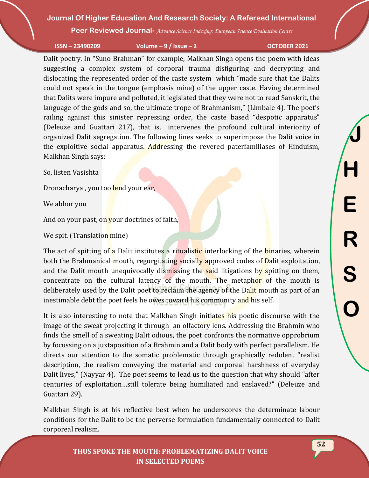**Peer Reviewed Journal-** *Advance Science Indexing: European Science Evaluation Centre*

**ISSN – 23490209 Volume – 9 / Issue – 2 OCTOBER 2021**

Dalit poetry. In "Suno Brahman" for example, Malkhan Singh opens the poem with ideas suggesting a complex system of corporal trauma disfiguring and decrypting and dislocating the represented order of the caste system which "made sure that the Dalits could not speak in the tongue (emphasis mine) of the upper caste. Having determined that Dalits were impure and polluted, it legislated that they were not to read Sanskrit, the language of the gods and so, the ultimate trope of Brahmanism," (Limbale 4). The poet's railing against this sinister repressing order, the caste based "despotic apparatus" (Deleuze and Guattari 217), that is, intervenes the profound cultural interiority of organized Dalit segregation. The following lines seeks to superimpose the Dalit voice in the exploitive social apparatus. Addressing the revered paterfamiliases of Hinduism, Malkhan Singh says:

So, listen Vasishta

Dronacharya, you too lend your ear,

We abhor you

And on your past, on your doctrines of faith,

We spit. (Translation mine)

The act of spitting of a Dalit institutes a ritualistic interlocking of the **binaries**, wherein both the Brahmanical mouth, regurgitating socially approved codes of Dalit exploitation, and the Dalit mouth unequivocally dismissing the said litigations by spitting on them, concentrate on the cultural latency of the mouth. The metaphor of the mouth is deliberately used by the Dalit poet to reclaim the agency of the Dalit mouth as part of an inestimable debt the poet feels he owes toward his community and his self.

It is also interesting to note that Malkhan Singh initiates his poetic discourse with the image of the sweat projecting it through an olfactory lens. Addressing the Brahmin who finds the smell of a sweating Dalit odious, the poet confronts the normative opprobrium by focussing on a juxtaposition of a Brahmin and a Dalit body with perfect parallelism. He directs our attention to the somatic problematic through graphically redolent "realist description, the realism conveying the material and corporeal harshness of everyday Dalit lives," (Nayyar 4). The poet seems to lead us to the question that why should "after centuries of exploitation…still tolerate being humiliated and enslaved?" (Deleuze and Guattari 29).

Malkhan Singh is at his reflective best when he underscores the determinate labour conditions for the Dalit to be the perverse formulation fundamentally connected to Dalit corporeal realism.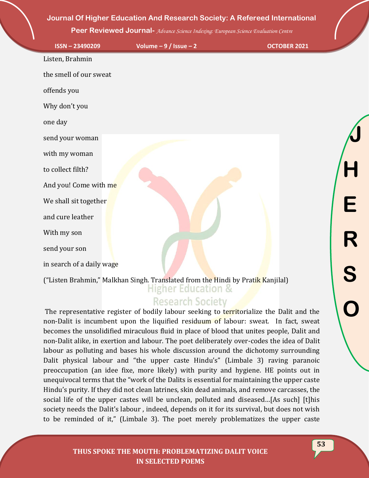**Peer Reviewed Journal-** *Advance Science Indexing: European Science Evaluation Centre*

| ISSN-23490209             | Volume $-9/$ Issue $-2$                                                         | <b>OCTOBER 2021</b> |   |
|---------------------------|---------------------------------------------------------------------------------|---------------------|---|
| Listen, Brahmin           |                                                                                 |                     |   |
| the smell of our sweat    |                                                                                 |                     |   |
| offends you               |                                                                                 |                     |   |
| Why don't you             |                                                                                 |                     |   |
| one day                   |                                                                                 |                     |   |
| send your woman           |                                                                                 |                     |   |
| with my woman             |                                                                                 |                     |   |
| to collect filth?         |                                                                                 |                     |   |
| And you! Come with me     |                                                                                 |                     |   |
| We shall sit together     |                                                                                 |                     | E |
| and cure leather          |                                                                                 |                     |   |
| With my son               |                                                                                 |                     |   |
| send your son             |                                                                                 |                     |   |
| in search of a daily wage |                                                                                 |                     | S |
|                           | ("Listen Brahmin," Malkhan Singh. Translated from the Hindi by Pratik Kanjilal) |                     |   |

## **Research Society**

The representative register of bodily labour seeking to territorialize the Dalit and the non-Dalit is incumbent upon the liquified residuum of labour: sweat. In fact, sweat becomes the unsolidified miraculous fluid in place of blood that unites people, Dalit and non-Dalit alike, in exertion and labour. The poet deliberately over-codes the idea of Dalit labour as polluting and bases his whole discussion around the dichotomy surrounding Dalit physical labour and "the upper caste Hindu's" (Limbale 3) raving paranoic preoccupation (an idee fixe, more likely) with purity and hygiene. HE points out in unequivocal terms that the "work of the Dalits is essential for maintaining the upper caste Hindu's purity. If they did not clean latrines, skin dead animals, and remove carcasses, the social life of the upper castes will be unclean, polluted and diseased…[As such] [t]his society needs the Dalit's labour , indeed, depends on it for its survival, but does not wish to be reminded of it," (Limbale 3). The poet merely problematizes the upper caste

#### **THUS SPOKE THE MOUTH: PROBLEMATIZING DALIT VOICE IN SELECTED POEMS**

**O**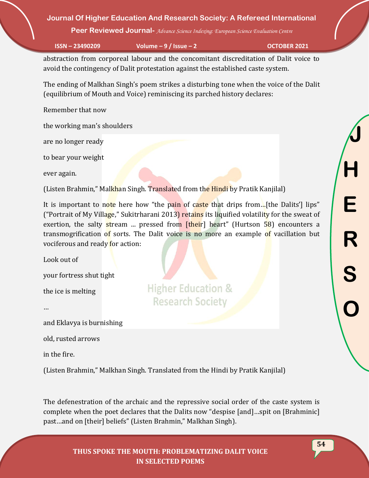**Peer Reviewed Journal-** *Advance Science Indexing: European Science Evaluation Centre*

**ISSN – 23490209 Volume – 9 / Issue – 2 OCTOBER 2021**

abstraction from corporeal labour and the concomitant discreditation of Dalit voice to avoid the contingency of Dalit protestation against the established caste system.

The ending of Malkhan Singh's poem strikes a disturbing tone when the voice of the Dalit (equilibrium of Mouth and Voice) reminiscing its parched history declares:

Remember that now

the working man's shoulders

are no longer ready

to bear your weight

ever again.

(Listen Brahmin," Malkhan Singh. Translated from the Hindi by Pratik Kanjilal)

It is important to note here how "the pain of caste that drips from... [the Dalits'] lips" ("Portrait of My Village," Sukitrharani 2013) retains its liquified volatility for the sweat of exertion, the salty stream ... pressed from [their] heart" (Hurtson 58) encounters a transmogrification of sorts. The Dalit voice is no more an example of vacillation but vociferous and ready for action:

**Higher Education &** 

**Research Society** 

Look out of

your fortress shut tight

the ice is melting

…

and Eklavya is burnishing

old, rusted arrows

in the fire.

(Listen Brahmin," Malkhan Singh. Translated from the Hindi by Pratik Kanjilal)

The defenestration of the archaic and the repressive social order of the caste system is complete when the poet declares that the Dalits now "despise [and]…spit on [Brahminic] past…and on [their] beliefs" (Listen Brahmin," Malkhan Singh).

**J H E R S O**

**54**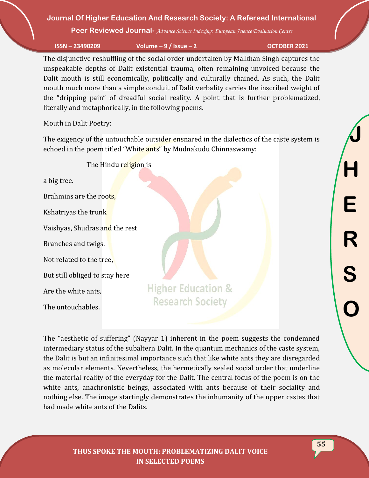**Peer Reviewed Journal-** *Advance Science Indexing: European Science Evaluation Centre*

**ISSN – 23490209 Volume – 9 / Issue – 2 OCTOBER 2021**

The disjunctive reshuffling of the social order undertaken by Malkhan Singh captures the unspeakable depths of Dalit existential trauma, often remaining unvoiced because the Dalit mouth is still economically, politically and culturally chained. As such, the Dalit mouth much more than a simple conduit of Dalit verbality carries the inscribed weight of the "dripping pain" of dreadful social reality. A point that is further problematized, literally and metaphorically, in the following poems.

Mouth in Dalit Poetry:

The exigency of the untouchable outsider ensnared in the dialectics of the caste system is echoed in the poem titled "White ants" by Mudnakudu Chinnaswamy:

The Hindu religion is a big tree. Brahmins are the roots, Kshatriyas the trunk Vaishyas, Shudras and the rest Branches and twigs. Not related to the tree, But still obliged to stay here **Higher Education &** Are the white ants, The untouchables.

The "aesthetic of suffering" (Nayyar 1) inherent in the poem suggests the condemned intermediary status of the subaltern Dalit. In the quantum mechanics of the caste system, the Dalit is but an infinitesimal importance such that like white ants they are disregarded as molecular elements. Nevertheless, the hermetically sealed social order that underline the material reality of the everyday for the Dalit. The central focus of the poem is on the white ants, anachronistic beings, associated with ants because of their sociality and nothing else. The image startingly demonstrates the inhumanity of the upper castes that had made white ants of the Dalits.

**Research Society**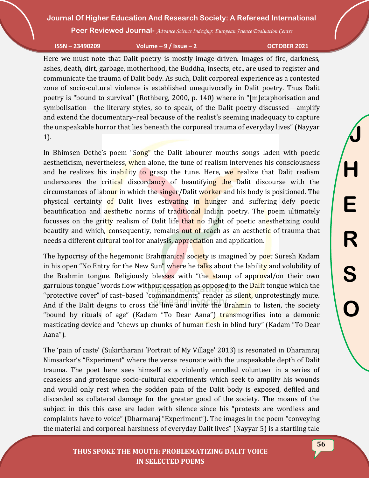**Peer Reviewed Journal-** *Advance Science Indexing: European Science Evaluation Centre*

**ISSN – 23490209 Volume – 9 / Issue – 2 OCTOBER 2021**

Here we must note that Dalit poetry is mostly image-driven. Images of fire, darkness, ashes, death, dirt, garbage, motherhood, the Buddha, insects, etc., are used to register and communicate the trauma of Dalit body. As such, Dalit corporeal experience as a contested zone of socio-cultural violence is established unequivocally in Dalit poetry. Thus Dalit poetry is "bound to survival" (Rothberg, 2000, p. 140) where in "[m]etaphorisation and symbolisation—the literary styles, so to speak, of the Dalit poetry discussed—amplify and extend the documentary–real because of the realist's seeming inadequacy to capture the unspeakable horror that lies beneath the corporeal trauma of everyday lives" (Nayyar 1).

In Bhimsen Dethe's poem "Song" the Dalit labourer mouths songs laden with poetic aestheticism, nevertheless, when alone, the tune of realism intervenes his consciousness and he realizes his inability to grasp the tune. Here, we realize that Dalit realism underscores the critical discordancy of beautifying the Dalit discourse with the circumstances of labour in which the singer/Dalit worker and his body is positioned. The physical certainty of Dalit lives estivating in hunger and suffering defy poetic beautification and aesthetic norms of traditional Indian poetry. The poem ultimately focusses on the gritty realism of Dalit life that no flight of poetic anesthetizing could beautify and which, consequently, remains out of reach as an aesthetic of trauma that needs a different cultural tool for analysis, appreciation and application.

The hypocrisy of the hegemonic Brahmanical society is imagined by poet Suresh Kadam in his open "No Entry for the New Sun" where he talks about the lability and volubility of the Brahmin tongue. Religiously blesses with "the stamp of approval/on their own garrulous tongue" words flow without cessation as opposed to the Dalit tongue which the "protective cover" of cast-based "commandments" render as silent, unprotestingly mute. And if the Dalit deigns to cross the line and invite the Brahmin to listen, the society "bound by rituals of age" (Kadam "To Dear Aana") transmogrifies into a demonic masticating device and "chews up chunks of human flesh in blind fury" (Kadam "To Dear Aana").

The 'pain of caste' (Sukirtharani 'Portrait of My Village' 2013) is resonated in Dharamraj Nimsarkar's "Experiment" where the verse resonate with the unspeakable depth of Dalit trauma. The poet here sees himself as a violently enrolled volunteer in a series of ceaseless and grotesque socio-cultural experiments which seek to amplify his wounds and would only rest when the sodden pain of the Dalit body is exposed, defiled and discarded as collateral damage for the greater good of the society. The moans of the subject in this this case are laden with silence since his "protests are wordless and complaints have to voice" (Dharmaraj "Experiment"). The images in the poem "conveying the material and corporeal harshness of everyday Dalit lives" (Nayyar 5) is a startling tale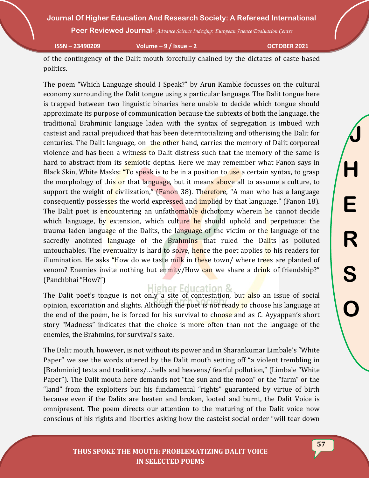**Peer Reviewed Journal-** *Advance Science Indexing: European Science Evaluation Centre*

**ISSN – 23490209 Volume – 9 / Issue – 2 OCTOBER 2021**

of the contingency of the Dalit mouth forcefully chained by the dictates of caste-based politics.

The poem "Which Language should I Speak?" by Arun Kamble focusses on the cultural economy surrounding the Dalit tongue using a particular language. The Dalit tongue here is trapped between two linguistic binaries here unable to decide which tongue should approximate its purpose of communication because the subtexts of both the language, the traditional Brahminic language laden with the syntax of segregation is imbued with casteist and racial prejudiced that has been deterritotializing and otherising the Dalit for centuries. The Dalit language, on the other hand, carries the memory of Dalit corporeal violence and has been a witness to Dalit distress such that the memory of the same is hard to abstract from its semiotic depths. Here we may remember what Fanon says in Black Skin, White Masks: "To speak is to be in a position to use a certain syntax, to grasp the morphology of this or that language, but it means above all to assume a culture, to support the weight of civilization," (Fanon 38). Therefore, "A man who has a language consequently possesses the world expressed and *implied* by that language." (Fanon 18). The Dalit poet is encountering an unfathomable dichotomy wherein he cannot decide which language, by extension, which culture he should uphold and perpetuate: the trauma laden language of the Dalits, the language of the victim or the language of the sacredly anointed language of the Brahmins that ruled the Dalits as polluted untouchables. The eventuality is hard to solve, hence the poet applies to his readers for illumination. He asks "How do we taste milk in these town/ where trees are planted of venom? Enemies invite nothing but enmity/How can we share a drink of friendship?" (Panchbhai "How?")

## **Higher Education &**

The Dalit poet's tongue is not only a site of contestation, but also an issue of social opinion, excoriation and slights. Although the poet is not ready to choose his language at the end of the poem, he is forced for his survival to choose and as C. Ayyappan's short story "Madness" indicates that the choice is more often than not the language of the enemies, the Brahmins, for survival's sake.

The Dalit mouth, however, is not without its power and in Sharankumar Limbale's "White Paper" we see the words uttered by the Dalit mouth setting off "a violent trembling in [Brahminic] texts and traditions/…hells and heavens/ fearful pollution," (Limbale "White Paper"). The Dalit mouth here demands not "the sun and the moon" or the "farm" or the "land" from the exploiters but his fundamental "rights" guaranteed by virtue of birth because even if the Dalits are beaten and broken, looted and burnt, the Dalit Voice is omnipresent. The poem directs our attention to the maturing of the Dalit voice now conscious of his rights and liberties asking how the casteist social order "will tear down